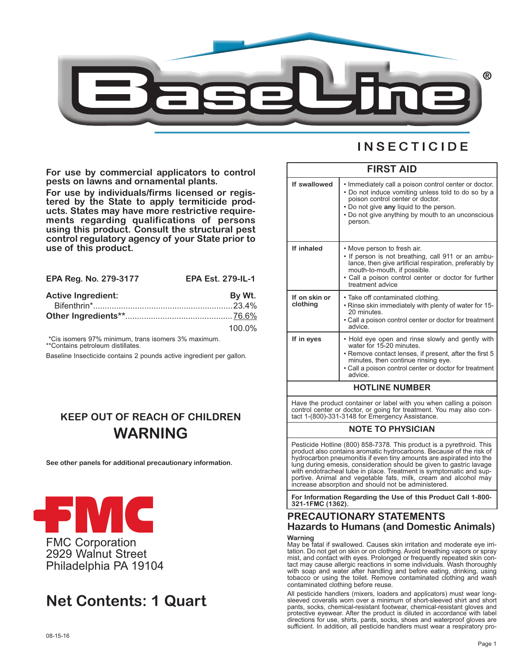

**For use by commercial applicators to control pests on lawns and ornamental plants.**

**For use by individuals/firms licensed or registered by the State to apply termiticide products. States may have more restrictive requirements regarding qualifications of persons using this product. Consult the structural pest control regulatory agency of your State prior to use of this product.**

| EPA Reg. No. 279-3177     | <b>EPA Est. 279-IL-1</b> |
|---------------------------|--------------------------|
| <b>Active Ingredient:</b> | By Wt.                   |
|                           |                          |
|                           |                          |
|                           | $100.0\%$                |

\*Cis isomers 97% minimum, trans isomers 3% maximum. \*\*Contains petroleum distillates.

Baseline Insecticide contains 2 pounds active ingredient per gallon.

# **KEEP OUT OF REACH OF CHILDREN WARNING**

**See other panels for additional precautionary information.**



Philadelphia PA 19104

# **Net Contents: 1 Quart**

|  |  | <b>NSECTICIDE</b> |  |  |  |  |
|--|--|-------------------|--|--|--|--|
|  |  |                   |  |  |  |  |

| <b>FIRST AID</b>          |                                                                                                                                                                                                                                                            |  |  |  |
|---------------------------|------------------------------------------------------------------------------------------------------------------------------------------------------------------------------------------------------------------------------------------------------------|--|--|--|
| If swallowed              | • Immediately call a poison control center or doctor.<br>• Do not induce vomiting unless told to do so by a<br>poison control center or doctor.<br>• Do not give any liquid to the person.<br>• Do not give anything by mouth to an unconscious<br>person. |  |  |  |
| If inhaled                | • Move person to fresh air.<br>• If person is not breathing, call 911 or an ambu-<br>lance, then give artificial respiration, preferably by<br>mouth-to-mouth, if possible.<br>• Call a poison control center or doctor for further<br>treatment advice    |  |  |  |
| If on skin or<br>clothing | • Take off contaminated clothing.<br>. Rinse skin immediately with plenty of water for 15-<br>20 minutes.<br>• Call a poison control center or doctor for treatment<br>advice                                                                              |  |  |  |
| If in eyes                | • Hold eye open and rinse slowly and gently with<br>water for 15-20 minutes.<br>• Remove contact lenses, if present, after the first 5<br>minutes, then continue rinsing eye.<br>• Call a poison control center or doctor for treatment<br>advice.         |  |  |  |
| <b>HOTLINE NUMBER</b>     |                                                                                                                                                                                                                                                            |  |  |  |

Have the product container or label with you when calling a poison control center or doctor, or going for treatment. You may also contact 1-(800)-331-3148 for Emergency Assistance.

## **NOTE TO PHYSICIAN**

Pesticide Hotline (800) 858-7378. This product is a pyrethroid. This product also contains aromatic hydrocarbons. Because of the risk of hydrocarbon pneumonitis if even tiny amounts are aspirated into the lung during emesis, consideration should be given to gastric lavage with endotracheal tube in place. Treatment is symptomatic and supportive. Animal and vegetable fats, milk, cream and alcohol may increase absorption and should not be administered.

**For Information Regarding the Use of this Product Call 1-800- 321-1FMC (1362).**

# **PRECAUTIONARY STATEMENTS Hazards to Humans (and Domestic Animals)**

**Warning**

May be fatal if swallowed. Causes skin irritation and moderate eye irritation. Do not get on skin or on clothing. Avoid breathing vapors or spray mist, and contact with eyes. Prolonged or frequently repeated skin contact may cause allergic reactions in some individuals. Wash thoroughly with soap and water after handling and before eating, drinking, using tobacco or using the toilet. Remove contaminated clothing and wash contaminated clothing before reuse.

All pesticide handlers (mixers, loaders and applicators) must wear longsleeved coveralls worn over a minimum of short-sleeved shirt and short pants, socks, chemical-resistant footwear, chemical-resistant gloves and protective eyewear. After the product is diluted in accordance with label directions for use, shirts, pants, socks, shoes and waterproof gloves are sufficient. In addition, all pesticide handlers must wear a respiratory pro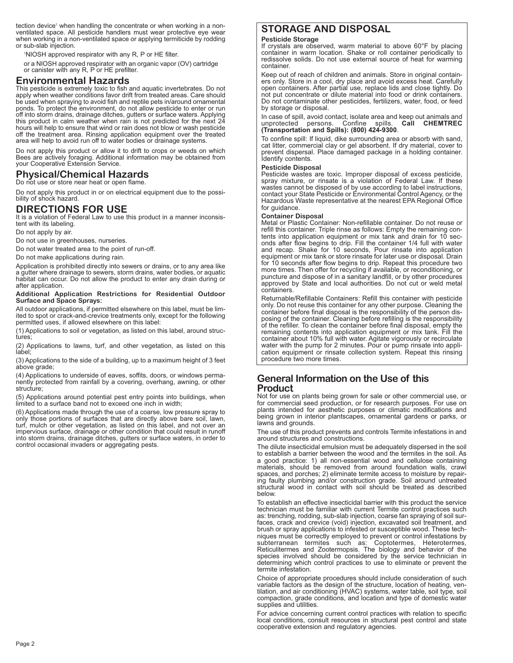tection device<sup>1</sup> when handling the concentrate or when working in a non-<br>ventilated space. All pesticide handlers must wear protective eye wear when working in a non-ventilated space or applying termiticide by rodding or sub-slab injection.

1 NIOSH approved respirator with any R, P or HE filter.

or <sup>a</sup> NIOSH approved respirator with an organic vapor (OV) cartridge or canister with any R, <sup>P</sup> or HE prefilter.

## **Environmental Hazards**

This pesticide is extremely toxic to fish and aquatic invertebrates. Do not apply when weather conditions favor drift from treated areas. Care should be used when spraying to avoid fish and reptile pets in/around ornamental ponds. To protect the environment, do not allow pesticide to enter or run off into storm drains, drainage ditches, gutters or surface waters. Applying this product in calm weather when rain is not predicted for the next 24 hours will help to ensure that wind or rain does not blow or wash pesticide off the treatment area. Rinsing application equipment over the treated area will help to avoid run off to water bodies or drainage systems.

Do not apply this product or allow it to drift to crops or weeds on which Bees are actively foraging. Additional information may be obtained from your Cooperative Extension Service.

# **Physical/Chemical Hazards**

Do not use or store near heat or open flame.

Do not apply this product in or on electrical equipment due to the possi- bility of shock hazard.

# **DIRECTIONS FOR USE**

It is a violation of Federal Law to use this product in a manner inconsis-tent with its labeling.

Do not apply by air.

Do not use in greenhouses, nurseries.

Do not water treated area to the point of run-off.

Do not make applications during rain.

Application is prohibited directly into sewers or drains, or to any area like <sup>a</sup> gutter where drainage to sewers, storm drains, water bodies, or aquatic habitat can occur. Do not allow the product to enter any drain during or after application.

# **Additional Application Restrictions for Residential Outdoor Surface and Space Sprays:**

All outdoor applications, if permitted elsewhere on this label, must be lim- ited to spot or crack-and-crevice treatments only, except for the following permitted uses, if allowed elsewhere on this label:

(1) Applications to soil or vegetation, as listed on this label, around structures;

(2) Applications to lawns, turf, and other vegetation, as listed on this label;

(3) Applications to the side of a building, up to a maximum height of 3 feet above grade;

(4) Applications to underside of eaves, soffits, doors, or windows permanently protected from rainfall by a covering, overhang, awning, or other structure;

(5) Applications around potential pest entry points into buildings, when limited to a surface band not to exceed one inch in width;

(6) Applications made through the use of a coarse, low pressure spray to only those portions of surfaces that are directly above bare soil, lawn, turf, mulch or other vegetation, as listed on this label, and not over an impervious surface, drainage or other condition that could result in runoff into storm drains, drainage ditches, gutters or surface waters, in order to control occasional invaders or aggregating pests.

# **STORAGE AND DISPOSAL**

### **Pesticide Storage**

If crystals are observed, warm material to above 60°F by placing container in warm location. Shake or roll container periodically to redissolve solids. Do not use external source of heat for warming container.

Keep out of reach of children and animals. Store in original containers only. Store in a cool, dry place and avoid excess heat. Carefully open containers. After partial use, replace lids and close tightly. Do not put concentrate or dilute material into food or drink containers. Do not contaminate other pesticides, fertilizers, water, food, or feed by storage or disposal.

In case of spill, avoid contact, isolate area and keep out animals and unprotected persons. Confine spills. Call CHEMTREC unprotected persons. Confine spills. **Call CHEMTREC (Transportation and Spills): (800) 424-9300**.

To confine spill: If liquid, dike surrounding area or absorb with sand, cat litter, commercial clay or gel absorbent. If dry material, cover to prevent dispersal. Place damaged package in a holding container. Identify contents.

### **Pesticide Disposal**

Pesticide wastes are toxic. Improper disposal of excess pesticide, spray mixture, or rinsate is a violation of Federal Law. If these wastes cannot be disposed of by use according to label instructions, contact your State Pesticide or Environmental Control Agency, or the Hazardous Waste representative at the nearest EPA Regional Office for guidance.

### **Container Disposal**

Metal or Plastic Container: Non-refillable container. Do not reuse or refill this container. Triple rinse as follows: Empty the remaining contents into application equipment or mix tank and drain for 10 seconds after flow begins to drip. Fill the container 1/4 full with water and recap. Shake for 10 seconds, Pour rinsate into application equipment or mix tank or store rinsate for later use or disposal. Drain for 10 seconds after flow begins to drip. Repeat this procedure two more times. Then offer for recycling if available, or reconditioning, or puncture and dispose of in a sanitary landfill, or by other procedures approved by State and local authorities. Do not cut or weld metal containers.

Returnable/Refillable Containers: Refill this container with pesticide only. Do not reuse this container for any other purpose. Cleaning the container before final disposal is the responsibility of the person disposing of the container. Cleaning before refilling is the responsibility of the refiller. To clean the container before final disposal, empty the remaining contents into application equipment or mix tank. Fill the container about 10% full with water. Agitate vigorously or recirculate water with the pump for 2 minutes. Pour or pump rinsate into application equipment or rinsate collection system. Repeat this rinsing procedure two more times.

# **General Information on the Use of this Product**

Not for use on plants being grown for sale or other commercial use, or for commercial seed production, or for research purposes. For use on plants intended for aesthetic purposes or climatic modifications and being grown in interior plantscapes, ornamental gardens or parks, or lawns and grounds.

The use of this product prevents and controls Termite infestations in and around structures and constructions.

The dilute insecticidal emulsion must be adequately dispersed in the soil to establish a barrier between the wood and the termites in the soil. As a good practice: 1) all non-essential wood and cellulose containing materials, should be removed from around foundation walls, crawl spaces, and porches; 2) eliminate termite access to moisture by repairing faulty plumbing and/or construction grade. Soil around untreated structural wood in contact with soil should be treated as described below.

To establish an effective insecticidal barrier with this product the service technician must be familiar with current Termite control practices such as: trenching, rodding, sub-slab injection, coarse fan spraying of soil surfaces, crack and crevice (void) injection, excavated soil treatment, and brush or spray applications to infested or susceptible wood. These techniques must be correctly employed to prevent or control infestations by subterranean termites such as: Coptotermes, Heterotermes, Reticulitermes and Zootermopsis. The biology and behavior of the species involved should be considered by the service technician in determining which control practices to use to eliminate or prevent the termite infestation.

Choice of appropriate procedures should include consideration of such variable factors as the design of the structure, location of heating, ventilation, and air conditioning (HVAC) systems, water table, soil type, soil compaction, grade conditions, and location and type of domestic water supplies and utilities.

For advice concerning current control practices with relation to specific local conditions, consult resources in structural pest control and state cooperative extension and regulatory agencies.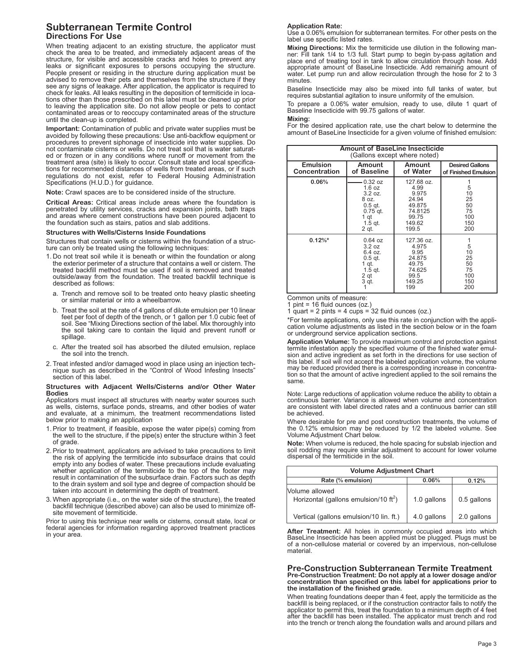# **Subterranean Termite Control Directions For Use**

When treating adjacent to an existing structure, the applicator must check the area to be treated, and immediately adjacent areas of the structure, for visible and accessible cracks and holes to prevent any leaks or significant exposures to persons occupying the structure. People present or residing in the structure during application must be advised to remove their pets and themselves from the structure if they see any signs of leakage. After application, the applicator is required to check for leaks. All leaks resulting in the deposition of termiticide in locations other than those prescribed on this label must be cleaned up prior to leaving the application site. Do not allow people or pets to contact contaminated areas or to reoccupy contaminated areas of the structure until the clean-up is completed.

**Important:** Contamination of public and private water supplies must be avoided by following these precautions: Use anti-backflow equipment or procedures to prevent siphonage of insecticide into water supplies. Do not contaminate cisterns or wells. Do not treat soil that is water saturated or frozen or in any conditions where runoff or movement from the treatment area (site) is likely to occur. Consult state and local specifications for recommended distances of wells from treated areas, or if such regulations do not exist, refer to Federal Housing Administration Specifications (H.U.D.) for guidance.

**Note:** Crawl spaces are to be considered inside of the structure.

**Critical Areas:** Critical areas include areas where the foundation is penetrated by utility services, cracks and expansion joints, bath traps and areas where cement constructions have been poured adjacent to the foundation such as stairs, patios and slab additions.

### **Structures with Wells/Cisterns Inside Foundations**

Structures that contain wells or cisterns within the foundation of a structure can only be treated using the following techniques:

- 1. Do not treat soil while it is beneath or within the foundation or along the exterior perimeter of a structure that contains a well or cistern. The treated backfill method must be used if soil is removed and treated outside/away from the foundation. The treated backfill technique is described as follows:
	- a. Trench and remove soil to be treated onto heavy plastic sheeting or similar material or into a wheelbarrow.
	- b. Treat the soil at the rate of 4 gallons of dilute emulsion per 10 linear feet per foot of depth of the trench, or 1 gallon per 1.0 cubic feet of soil. See "Mixing Directions section of the label. Mix thoroughly into the soil taking care to contain the liquid and prevent runoff or spillage.
	- c. After the treated soil has absorbed the diluted emulsion, replace the soil into the trench.
- 2. Treat infested and/or damaged wood in place using an injection technique such as described in the "Control of Wood Infesting Insects" section of this label.

# **Structures with Adjacent Wells/Cisterns and/or Other Water Bodies**

Applicators must inspect all structures with nearby water sources such as wells, cisterns, surface ponds, streams, and other bodies of water and evaluate, at a minimum, the treatment recommendations listed below prior to making an application

- 1. Prior to treatment, if feasible, expose the water pipe(s) coming from the well to the structure, if the pipe(s) enter the structure within 3 feet of grade.
- 2. Prior to treatment, applicators are advised to take precautions to limit the risk of applying the termiticide into subsurface drains that could empty into any bodies of water. These precautions include evaluating whether application of the termiticide to the top of the footer may result in contamination of the subsurface drain. Factors such as depth to the drain system and soil type and degree of compaction should be taken into account in determining the depth of treatment.
- 3. When appropriate (i.e., on the water side of the structure), the treated backfill technique (described above) can also be used to minimize offsite movement of termiticide.

Prior to using this technique near wells or cisterns, consult state, local or federal agencies for information regarding approved treatment practices in your area.

### **Application Rate:**

Use a 0.06% emulsion for subterranean termites. For other pests on the label use specific listed rates.

**Mixing Directions:** Mix the termiticide use dilution in the following man- ner: Fill tank 1/4 to 1/3 full. Start pump to begin by-pass agitation and place end of treating tool in tank to allow circulation through hose. Add<br>appropriate amount of BaseLine Insecticide. Add remaining amount of water. Let pump run and allow recirculation through the hose for 2 to 3 minutes.

Baseline Insecticide may also be mixed into full tanks of water, but requires substantial agitation to insure uniformity of the emulsion.

To prepare a 0.06% water emulsion, ready to use, dilute 1 quart of Baseline Insecticide with 99.75 gallons of water.

### **Mixing:**

For the desired application rate, use the chart below to determine the amount of BaseLine Insecticide for a given volume of finished emulsion:

| <b>Amount of BaseLine Insecticide</b><br>(Gallons except where noted) |                                                                                                |                                                                                       |                                                |  |
|-----------------------------------------------------------------------|------------------------------------------------------------------------------------------------|---------------------------------------------------------------------------------------|------------------------------------------------|--|
| <b>Emulsion</b><br>Concentration                                      | Amount<br>of Baseline                                                                          | Amount<br>of Water                                                                    | <b>Desired Gallons</b><br>of Finished Emulsion |  |
| 0.06%                                                                 | 0.32 oz<br>1.6 oz<br>3.2 oz.<br>8 oz.<br>$0.5$ gt.<br>$0.75$ qt.<br>1 qt<br>$1.5$ gt.<br>2 qt. | 127.68 oz.<br>4.99<br>9.975<br>24.94<br>49.875<br>74.8125<br>99.75<br>149.62<br>199.5 | 5<br>10<br>25<br>50<br>75<br>100<br>150<br>200 |  |
| $0.12\%$ *                                                            | $0.64$ oz<br>3.2 oz<br>6.4 oz.<br>$0.5$ gt.<br>1 qt.<br>$1.5$ qt.<br>2 qt<br>3 qt.             | 127.36 oz.<br>4.975<br>9.95<br>24.875<br>49.75<br>74.625<br>99.5<br>149.25<br>199     | 5<br>10<br>25<br>50<br>75<br>100<br>150<br>200 |  |

Common units of measure:

1 pint = 16 fluid ounces (oz.)

1 quart = 2 pints = 4 cups =  $32$  fluid ounces (oz.)

\*For termite applications, only use this rate in conjunction with the application volume adjustments as listed in the section below or in the foam or underground service application sections.

**Application Volume:** To provide maximum control and protection against termite infestation apply the specified volume of the finished water emulsion and active ingredient as set forth in the directions for use section of this label. If soil will not accept the labeled application volume, the volume may be reduced provided there is a corresponding increase in concentration so that the amount of active ingredient applied to the soil remains the same.

Note: Large reductions of application volume reduce the ability to obtain a are consistent with label directed rates and a continuous barrier can still be achieved.

Where desirable for pre and post construction treatments, the volume of the 0.12% emulsion may be reduced by 1/2 the labeled volume. See Volume Adjustment Chart below.

**Note:** When volume is reduced, the hole spacing for subslab injection and soil rodding may require similar adjustment to account for lower volume dispersal of the termiticide in the soil.

| <b>Volume Adjustment Chart</b>                                    |             |             |  |  |
|-------------------------------------------------------------------|-------------|-------------|--|--|
| Rate (% emulsion)<br>0.06%<br>0.12%                               |             |             |  |  |
| Volume allowed<br>Horizontal (gallons emulsion/10 $\text{ft}^2$ ) | 1.0 gallons | 0.5 gallons |  |  |
| Vertical (gallons emulsion/10 lin. ft.)                           | 4.0 gallons | 2.0 gallons |  |  |

**After Treatment:** All holes in commonly occupied areas into which BaseLine Insecticide has been applied must be plugged. Plugs must be of a non-cellulose material or covered by an impervious, non-cellulose material.

## **Pre-Construction Subterranean Termite Treatment** Pre-Construction Treatment: Do not apply at a lower dosage and/or<br>concentration than specified on this label for applications prior to **the installation of the finished grade.**

When treating foundations deeper than 4 feet, apply the termiticide as the backfill is being replaced, or if the construction contractor fails to notify the applicator to permit this, treat the foundation to a minimum depth of 4 feet after the backfill has been installed. The applicator must trench and rod into the trench or trench along the foundation walls and around pillars and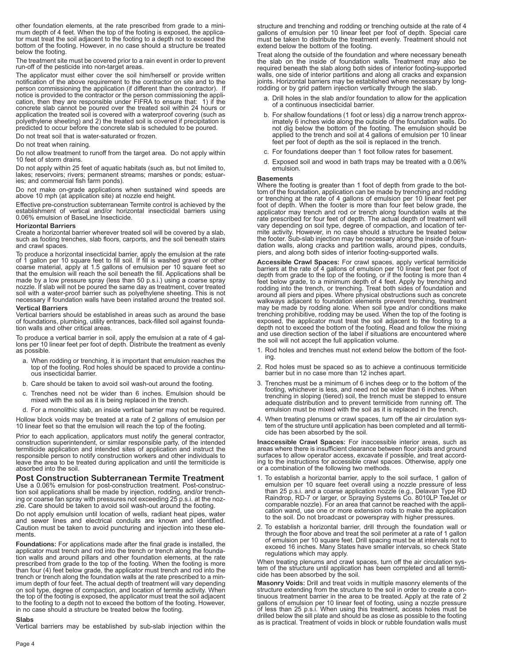other foundation elements, at the rate prescribed from grade to a minimum depth of 4 feet. When the top of the footing is exposed, the applica-<br>tor must treat the soil adjacent to the footing to a depth not to exceed the bottom of the footing. However, in no case should a structure be treated below the footing.

The treatment site must be covered prior to <sup>a</sup> rain event in order to prevent run-off of the pesticide into non-target areas.

The applicator must either cover the soil him/herself or provide written notification of the above requirement to the contractor on site and to the person commissioning the application (if different than the contractor). If notice is provided to the contractor or the person commissioning the appli-cation, then they are responsible under FIFRA to ensure that: 1) if the concrete slab cannot be poured over the treated soil within 24 hours or application the treated soil is covered with a waterproof covering (such as polyethylene sheeting) and 2) the treated soil is covered if precipitation is predicted to occur before the concrete slab is scheduled to be poured.

Do not treat soil that is water-saturated or frozen.

Do not treat when raining.

Do not allow treatment to runoff from the target area. Do not apply within 10 feet of storm drains.

Do not apply within 25 feet of aquatic habitats (such as, but not limited to, lakes; reservoirs; rivers; permanent streams; marshes or ponds; estuar- ies; and commercial fish farm ponds).

Do not make on-grade applications when sustained wind speeds are above 10 mph (at application site) at nozzle end height.

Effective pre-construction subterranean Termite control is achieved by the establishment of vertical and/or horizontal insecticidal barriers using 0.06% emulsion of BaseLine Insecticide.

### **Horizontal Barriers**

Create a horizontal barrier wherever treated soil will be covered by a slab, such as footing trenches, slab floors, carports, and the soil beneath stairs and crawl spaces.

To produce a horizontal insecticidal barrier, apply the emulsion at the rate of 1 gallon per 10 square feet to fill soil. If fill is washed gravel or other coarse material, apply at 1.5 gallons of emulsion per 10 square feet so that the emulsion will reach the soil beneath the fill. Applications shall be made by a low pressure spray (less than 50 p.s.i.) using a coarse spray nozzle. If slab will not be poured the same day as treatment, cover treated soil with a water-proof barrier such as polyethylene sheeting. This is not necessary if foundation walls have been installed around the treated soil.

### **Vertical Barriers**

Vertical barriers should be established in areas such as around the base of foundations, plumbing, utility entrances, back-filled soil against foundation walls and other critical areas.

To produce a vertical barrier in soil, apply the emulsion at a rate of 4 gal-lons per <sup>10</sup> linear feet per foot of depth. Distribute the treatment as evenly as possible.

- a. When rodding or trenching, it is important that emulsion reaches the top of the footing. Rod holes should be spaced to provide <sup>a</sup> continu-ous insecticidal barrier.
- b. Care should be taken to avoid soil wash-out around the footing.
- c. Trenches need not be wider than 6 inches. Emulsion should be mixed with the soil as it is being replaced in the trench.

d. For a monolithic slab, an inside vertical barrier may not be required.

Hollow block voids may be treated at a rate of 2 gallons of emulsion per 10 linear feet so that the emulsion will reach the top of the footing.

Prior to each application, applicators must notify the general contractor, construction superintendent, or similar responsible party, of the intended termiticide application and intended sites of application and instruct the responsible person to notify construction workers and other individuals to leave the area to be treated during application and until the termiticide is absorbed into the soil.

### **Post Construction Subterranean Termite Treatment**

Use a 0.06% emulsion for post-construction treatment. Post-construction soil applications shall be made by injection, rodding, and/or trenching or coarse fan spray with pressures not exceeding 25 p.s.i. at the nozzle. Care should be taken to avoid soil wash-out around the footing.

Do not apply emulsion until location of wells, radiant heat pipes, water and sewer lines and electrical conduits are known and identified. Caution must be taken to avoid puncturing and injection into these elements.

**Foundations:** For applications made after the final grade is installed, the applicator must trench and rod into the trench or trench along the foundation walls and around pillars and other foundation elements, at the rate prescribed from grade to the top of the footing. When the footing is more<br>than four (4) feet below grade, the applicator must trench and rod into the<br>trench or trench along the foundation walls at the rate prescribed to a imum depth of four feet. The actual depth of treatment will vary depending on soil type, degree of compaction, and location of termite activity. When the top of the footing is exposed, the applicator must treat the soil adjacent to the footing to <sup>a</sup> depth not to exceed the bottom of the footing. However, in no case should <sup>a</sup> structure be treated below the footing.

### **Slabs**

Vertical barriers may be established by sub-slab injection within the

structure and trenching and rodding or trenching outside at the rate of 4 gallons of emulsion per 10 linear feet per foot of depth. Special care must be taken to distribute the treatment evenly. Treatment should not extend below the bottom of the footing.

Treat along the outside of the foundation and where necessary beneath the slab on the inside of foundation walls. Treatment may also be required beneath the slab along both sides of interior footing-supported walls, one side of interior partitions and along all cracks and expansion joints. Horizontal barriers may be established where necessary by longrodding or by grid pattern injection vertically through the slab.

- a. Drill holes in the slab and/or foundation to allow for the application of a continuous insecticidal barrier.
- b. For shallow foundations (1 foot or less) dig a narrow trench approximately 6 inches wide along the outside of the foundation walls. Do not dig below the bottom of the footing. The emulsion should be applied to the trench and soil at 4 gallons of emulsion per 10 linear feet per foot of depth as the soil is replaced in the trench.
- c. For foundations deeper than 1 foot follow rates for basement.
- d. Exposed soil and wood in bath traps may be treated with a 0.06% emulsion.

### **Basements**

Where the footing is greater than 1 foot of depth from grade to the bottom of the foundation, application can be made by trenching and rodding or trenching at the rate of 4 gallons of emulsion per 10 linear feet per foot of depth. When the footer is more than four feet below grade, the applicator may trench and rod or trench along foundation walls at the rate prescribed for four feet of depth. The actual depth of treatment will vary depending on soil type, degree of compaction, and location of termite activity. However, in no case should a structure be treated below the footer. Sub-slab injection may be necessary along the inside of foundation walls, along cracks and partition walls, around pipes, conduits, piers, and along both sides of interior footing-supported walls.

**Accessible Crawl Spaces:** For crawl spaces, apply vertical termiticide barriers at the rate of 4 gallons of emulsion per 10 linear feet per foot of depth from grade to the top of the footing, or if the footing is more than 4 feet below grade, to a minimum depth of 4 feet. Apply by trenching and rodding into the trench, or trenching. Treat both sides of foundation and around all piers and pipes. Where physical obstructions such as concrete walkways adjacent to foundation elements prevent trenching, treatment<br>may be made by rodding alone. When soil type and/or conditions make<br>trenching prohibitive, rodding may be used. When the top of the footing is<br>exposed, the soil will not accept the full application volume.

- 1. Rod holes and trenches must not extend below the bottom of the footing.
- 2. Rod holes must be spaced so as to achieve a continuous termiticide barrier but in no case more than 12 inches apart.
- 3. Trenches must be a minimum of 6 inches deep or to the bottom of the footing, whichever is less, and need not be wider than 6 inches. When trenching in sloping (tiered) soil, the trench must be stepped to ensure adequate distribution and to prevent termiticide from running off. The emulsion must be mixed with the soil as it is replaced in the trench.
- 4. When treating plenums or crawl spaces, turn off the air circulation system of the structure until application has been completed and all termiticide has been absorbed by the soil.

**Inaccessible Crawl Spaces:** For inaccessible interior areas, such as areas where there is insufficient clearance between floor joists and ground surfaces to allow operator access, excavate if possible, and treat according to the instructions for accessible crawl spaces. Otherwise, apply one or a combination of the following two methods.

- 1. To establish a horizontal barrier, apply to the soil surface, 1 gallon of<br>emulsion per 10 square feet overall using a nozzle pressure of less<br>than 25 p.s.i. and a coarse application nozzle (e.g., Delavan Type RD<br>Raindro comparable nozzle). For an area that cannot be reached with the appli- cation wand, use one or more extension rods to make the application to the soil. Do not broadcast or powerspray with higher pressures.
- 2. To establish a horizontal barrier, drill through the foundation wall or through the floor above and treat the soil perimeter at a rate of 1 gallon<br>of emulsion per 10 square feet. Drill spacing must be at intervals not to exceed 16 inches. Many States have smaller intervals, so check State regulations which may apply.

When treating plenums and crawl spaces, turn off the air circulation system of the structure until application has been completed and all termiticide has been absorbed by the soil.

**Masonry Voids:** Drill and treat voids in multiple masonry elements of the tinuous treatment barrier in the area to be treated. Apply at the rate of 2 gallons of emulsion per 10 linear feet of footing, using a nozzle pressure of less than 25 p.s.i. When using this treatment, access holes must be drilled below the sill plate and should be as close as possible to the footi as is practical. Treatment of voids in block or rubble foundation walls must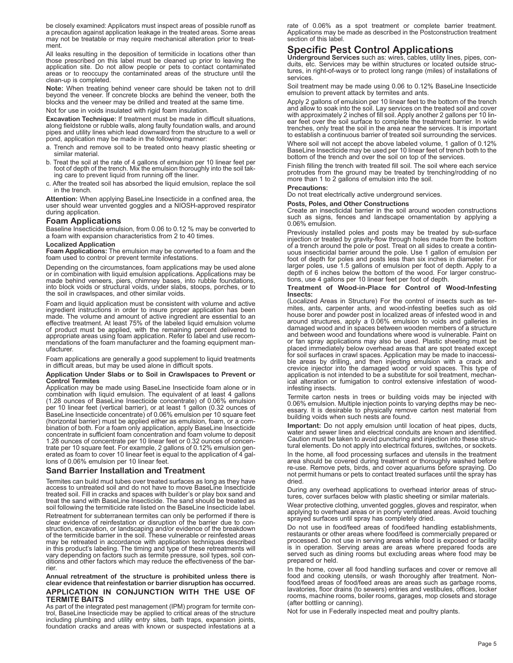be closely examined: Applicators must inspect areas of possible runoff as a precaution against application leakage in the treated areas. Some areas may not be treatable or may require mechanical alteration prior to treat- ment.

All leaks resulting in the deposition of termiticide in locations other than<br>those prescribed on this label must be cleaned up prior to leaving the<br>application site. Do not allow people or pets to contact contaminated<br>area areas or to reoccupy the contaminated areas of the structure until the clean-up is completed.

**Note:** When treating behind veneer care should be taken not to drill beyond the veneer. If concrete blocks are behind the veneer, both the blocks and the veneer may be drilled and treated at the same time.

Not for use in voids insulated with rigid foam insulation.

**Excavation Technique:** If treatment must be made in difficult situations, along fieldstone or rubble walls, along faulty foundation walls, and around pipes and utility lines which lead downward from the structure to <sup>a</sup> well or pond, application may be made in the following manner:

- a. Trench and remove soil to be treated onto heavy plastic sheeting or similar material.
- b. Treat the soil at the rate of 4 gallons of emulsion per 10 linear feet per foot of depth of the trench. Mix the emulsion thoroughly into the soil tak- ing care to prevent liquid from running off the liner.
- c. After the treated soil has absorbed the liquid emulsion, replace the soil in the trench.

**Attention:** When applying BaseLine Insecticide in a confined area, the user should wear unvented goggles and a NIOSH-approved respirator during application.

### **Foam Applications**

Baseline Insecticide emulsion, from 0.06 to 0.12 % may be converted to a foam with expansion characteristics from 2 to 40 times.

**Localized Application**<br>**Foam Applications:** The emulsion may be converted to a foam and the foam used to control or prevent termite infestations.

Depending on the circumstances, foam applications may be used alone<br>or in combination with liquid emulsion applications. Applications may be<br>made behind veneers, piers, chimney bases, into rubble foundations,<br>into block vo

Foam and liquid application must be consistent with volume and active<br>ingredient instructions in order to insure proper application has been<br>made. The volume and amount of active ingredient are essential to an<br>effective tr

Foam applications are generally <sup>a</sup> good supplement to liquid treatments in difficult areas, but may be used alone in difficult spots.

### **Application Under Slabs or to Soil in Crawlspaces to Prevent or Control Termites**

Application may be made using BaseLine Insecticide foam alone or in combination with liquid emulsion. The equivalent of at least 4 gallons (1.28 ounces of BaseLine Insecticide concentrate) of 0.06% emulsion per 10 linear feet (vertical barrier), or at least 1 gallon (0.32 ounces of BaseLine Insecticide concentrate) of 0.06% emulsion per 10 square feet (horizontal barrier) must be applied either as emulsion, foam, or a combination of both. For a foam only application, apply BaseLine Insecticide concentrate in sufficient foam concentration and foam volume to deposit 1.28 ounces of concentrate per 10 linear feet or 0.32 ounces of concentrate per 10 square feet. For example, 2 gallons of 0.12% emulsion generated as foam to cover 10 linear feet is equal to the application of 4 gallons of 0.06% emulsion per 10 linear feet.

### **Sand Barrier Installation and Treatment**

Termites can build mud tubes over treated surfaces as long as they have access to untreated soil and do not have to move BaseLine Insecticide treated soil. Fill in cracks and spaces with builder's or play box sand and trea soil following the termiticide rate listed on the BaseLine Insecticide label. Retreatment for subterranean termites can only be performed if there is<br>clear evidence of reinfestation or disruption of the barrier due to con-<br>struction, excavation, or landscaping and/or evidence of the breakdown Station, concurred by the termiticide barrier in the soil. These vulnerable or reinfested areas<br>may be retreated in accordance with application techniques described<br>in this product's labeling. The timing and type of these

**Annual retreatment of the structure is prohibited unless there is clear evidence that reinfestation or barrier disruption has occurred.**

### **APPLICATION IN CONJUNCTION WITH THE USE OF TERMITE BAITS**

As part of the integrated pest management (IPM) program for termite control, BaseLine Insecticide may be applied to critical areas of the structure including plumbing and utility entry sites, bath traps, expansion joints, foundation cracks and areas with known or suspected infestations at a

rate of 0.06% as a spot treatment or complete barrier treatment. Applications may be made as described in the Postconstruction treatment section of this label.

# **Specific Pest Control Applications Underground Services** such as: wires, cables, utility lines, pipes, con-

duits, etc. Services may be within structures or located outside structures, in right-of-ways or to protect long range (miles) of installations of services.

Soil treatment may be made using 0.06 to 0.12% BaseLine Insecticide emulsion to prevent attack by termites and ants.

Apply 2 gallons of emulsion per 10 linear feet to the bottom of the trench and allow to soak into the soil. Lay services on the treated soil and cover with approximately 2 inches of fill soil. Apply another 2 gallons per 10 linear feet over the soil surface to complete the treatment barrier. In wide trenches, only treat the soil in the area near the services. It is important to establish a continuous barrier of treated soil surrounding the services.

Where soil will not accept the above labeled volume, 1 gallon of 0.12% BaseLine Insecticide may be used per 10 linear feet of trench both to the bottom of the trench and over the soil on top of the services.

Finish filling the trench with treated fill soil. The soil where each service protrudes from the ground may be treated by trenching/rodding of no more than 1 to 2 gallons of emulsion into the soil.

### **Precautions:**

Do not treat electrically active underground services.

### **Posts, Poles, and Other Constructions**

Create an insecticidal barrier in the soil around wooden constructions such as signs, fences and landscape ornamentation by applying a 0.06% emulsion.

Previously installed poles and posts may be treated by sub-surface injection or treated by gravity-flow through holes made from the bottom of a trench around the pole or post. Treat on all sides to create a continuous insecticidal barrier around the pole. Use 1 gallon of emulsion per foot of depth for poles and posts less than six inches in diameter. For larger poles, use 1.5 gallons of emulsion per foot of depth. Apply to a depth of 6 inches below the bottom of the wood. For larger constructions, use 4 gallons per 10 linear feet per foot of depth.

### **Treatment of Wood-in-Place for Control of Wood-Infesting Insects:**

(Localized Areas in Structure) For the control of insects such as termites, ants, carpenter ants, and wood-infesting beetles such as old house borer and powder post in localized areas of infested wood in and around structures, apply a 0.06% emulsion to voids and galleries in damaged wood and in spaces between wooden members of a structure and between wood and foundations where wood is vulnerable. Paint on or fan spray applications may also be used. Plastic sheeting must be placed immediately below overhead areas that are spot treated except for soil surfaces in crawl spaces. Application may be made to inaccessible areas by drilling, and then injecting emulsion with a crack and crevice injector into the damaged wood or void spaces. This type of application is not intended to be a substitute for soil treatment, mechanical alteration or fumigation to control extensive infestation of woodinfesting insects.

Termite carton nests in trees or building voids may be injected with 0.06% emulsion. Multiple injection points to varying depths may be necessary. It is desirable to physically remove carton nest material from building voids when such nests are found.

**Important:** Do not apply emulsion until location of heat pipes, ducts, water and sewer lines and electrical conduits are known and identified. Caution must be taken to avoid puncturing and injection into these structural elements. Do not apply into electrical fixtures, switches, or sockets.

In the home, all food processing surfaces and utensils in the treatment area should be covered during treatment or thoroughly washed before re-use. Remove pets, birds, and cover aquariums before spraying. Do not permit humans or pets to contact treated surfaces until the spray has dried.

During any overhead applications to overhead interior areas of structures, cover surfaces below with plastic sheeting or similar materials.

Wear protective clothing, unvented goggles, gloves and respirator, when applying to overhead areas or in poorly ventilated areas. Avoid touching sprayed surfaces until spray has completely dried.

Do not use in food/feed areas of food/feed handling establishments, restaurants or other areas where food/feed is commercially prepared or processed. Do not use in serving areas while food is exposed or facility is in operation. Serving areas are areas where prepared foods are served such as dining rooms but excluding areas where food may be prepared or held.

In the home, cover all food handling surfaces and cover or remove all food and cooking utensils, or wash thoroughly after treatment. Nonfood/feed areas of food/feed areas are areas such as garbage rooms, lavatories, floor drains (to sewers) entries and vestibules, offices, locker rooms, machine rooms, boiler rooms, garages, mop closets and storage (after bottling or canning).

Not for use in Federally inspected meat and poultry plants.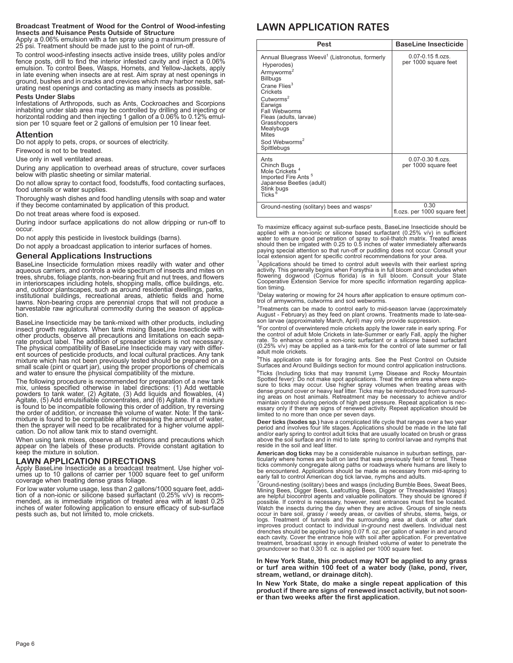### **Broadcast Treatment of Wood for the Control of Wood-infesting Insects and Nuisance Pests Outside of Structure**

Apply a 0.06% emulsion with a fan spray using a maximum pressure of 25 psi. Treatment should be made just to the point of run-off.

To control wood-infesting insects active inside trees, utility poles and/or fence posts, drill to find the interior infested cavity and inject a 0.06% emulsion. To control Bees, Wasps, Hornets, and Yellow-Jackets, apply in late evening when insects are at rest. Aim spray at nest openings in ground, bushes and in cracks and crevices which may harbor nests, saturating nest openings and contacting as many insects as possible.

### **Pests Under Slabs**

Infestations of Arthropods, such as Ants, Cockroaches and Scorpions inhabiting under slab area may be controlled by drilling and injecting or horizontal rodding and then injecting 1 gallon of a 0.06% to 0.12% emulsion per 10 square feet or 2 gallons of emulsion per 10 linear feet.

### **Attention**

Do not apply to pets, crops, or sources of electricity.

Firewood is not to be treated.

Use only in well ventilated areas.

During any application to overhead areas of structure, cover surfaces below with plastic sheeting or similar material.

Do not allow spray to contact food, foodstuffs, food contacting surfaces, food utensils or water supplies.

Thoroughly wash dishes and food handling utensils with soap and water if they become contaminated by application of this product.

Do not treat areas where food is exposed.

During indoor surface applications do not allow dripping or run-off to occur.

Do not apply this pesticide in livestock buildings (barns).

Do not apply a broadcast application to interior surfaces of homes.

### **General Applications Instructions**

BaseLine Insecticide formulation mixes readily with water and other aqueous carriers, and controls a wide spectrum of insects and mites on trees, shrubs, foliage plants, non-bearing fruit and nut trees, and flowers in inte

BaseLine Insecticide may be tank-mixed with other products, including insect growth regulators. When tank mixing BaseLine Insecticide with other products, observe all precautions and limitations on each sepaother products, observe all precautions and limitations on each separate product label. The addition of spreader stickers is not necessary. The physical compatibility of BaseLine Insecticide may vary with different sources

The following procedure is recommended for preparation of a new tank<br>mix, unless specified otherwise in label directions: (1) Add wettable<br>powders to tank water, (2) Agitate, (3) Add liquids and flowables, (4) Agitate, (5) Add emulsifiable concentrates, and (6) Agitate. If a mixture<br>is found to be incompatible following this order of addition, try reversing the order of addition, or increase the volume of water. Note: If the tank-<br>mixture is found to be compatible after increasing the amount of water,<br>then the sprayer will need to be recalibrated for a higher volume appli-<br>ca

When using tank mixes, observe all restrictions and precautions which appear on the labels of these products. Provide constant agitation to keep the mixture in solution.

**LAWN APPLICATION DIRECTIONS** Apply BaseLine Insecticide as <sup>a</sup> broadcast treatment. Use higher vol- umes up to <sup>10</sup> gallons of carrier per <sup>1000</sup> square feet to get uniform coverage when treating dense grass foliage.

For low water volume usage, less than 2 gallons/1000 square feet, addition of a non-ionic or silicone based surfactant (0.25% v/v) is recom-<br>mended, as is immediate irrigation of treated area with at least 0.25 inches of water following application to ensure efficacy of sub-surface pests such as, but not limited to, mole crickets.

# **LAWN APPLICATION RATES**

| Pest                                                                                                                                                                                                                                                                                                                               | <b>BaseLine Insecticide</b>                   |
|------------------------------------------------------------------------------------------------------------------------------------------------------------------------------------------------------------------------------------------------------------------------------------------------------------------------------------|-----------------------------------------------|
| Annual Bluegrass Weevil <sup>1</sup> (Listronotus, formerly<br>Hyperodes)<br>Armyworms <sup>2</sup><br><b>Billbugs</b><br>Crane Flies <sup>3</sup><br>Crickets<br>$C$ utworms <sup>2</sup><br>Earwigs<br>Fall Webworms<br>Fleas (adults, larvae)<br>Grasshoppers<br>Mealybugs<br>Mites<br>Sod Webworms <sup>2</sup><br>Spittlebugs | $0.07 - 0.15$ fl ozs<br>per 1000 square feet  |
| Ants<br>Chinch Bugs<br>Mole Crickets <sup>4</sup><br>Imported Fire Ants <sup>5</sup><br>Japanese Beetles (adult)<br>Stink bugs<br>Ticks <sup>6</sup>                                                                                                                                                                               | $0.07 - 0.30$ fl.ozs.<br>per 1000 square feet |
| Ground-nesting (solitary) bees and wasps7                                                                                                                                                                                                                                                                                          | 0.30<br>fl.ozs. per 1000 square feet          |

To maximize efficacy against sub-surface pests, BaseLine Insecticide should be applied with a non-ionic or silicone based surfactant (0.25% v/v) in sufficient water to ensure good penetration of spray to soil-thatch matrix. Treated areas should then be irrigated with 0.25 to 0.5 inches of water immediately afterwards<br>paying special attention so that run-off or puddling does not occur. Consult your<br>local extension agent for specific control recommendations

<sup>1</sup>Applications should be timed to control adult weevils with their earliest spring<br>activity. This generally begins when Forsythia is in full bloom and concludes when flowering dogwood (Cornus florida) is in full bloom. Consult your State Cooperative Extension Service for more specific information regarding application timing.

2 Delay watering or mowing for <sup>24</sup> hours after application to ensure optimum con- trol of armyworms, cutworms and sod webworms.

 $3$ Treatments can be made to control early to mid-season larvae (approximately August - February) as they feed on plant crowns. Treatments made to late-sea-son larvae (approximately March, April) may only provide suppression.

<sup>4</sup>For control of overwintered mole crickets apply the lower rate in early spring. For the control of adult Mole Crickets in late-Summer or early Fall, apply the higher rate. To enhance control a non-ionic surfactant or a silicone based surfactant (0.25% v/v) may be applied as a tank-mix for the control of late summer or fall adult mole crickets.

5 This application rate is for foraging ants. See the Pest Control on Outside Surfaces and Around Buildings section for mound control application instructions.

<sup>6</sup>Ticks (Including ticks that may transmit Lyme Disease and Rocky Mountain<br>Spotted fever): Do not make spot applications. Treat the entire area where expo-<br>sure to ticks may occur. Use higher spray volumes when treating a Spotted tever). Both the significant spot expression text with the state of the state of the space of the space of the space of the disk may occur. Use higher spay volumes when treating areas with dense ground cover or hea

**Deer ticks (Ixodes sp.)** have a complicated life cycle that ranges over a two year<br>period and involves four life stages. Applications should be made in the late fall<br>and/or early spring to control adult ticks that are usu above the soil surface and in mid to late spring to control larvae and nymphs that reside in the soil and leaf litter.

American dog ticks may be a considerable nuisance in suburban settings, particularly where homes are built on land that was previously field or forest. These ticks commonly congregate along paths or roadways where humans a

<sup>7</sup>Ground-nesting (solitary) bees and wasps (including Bumble Bees, Sweat Bees,<br>Mining Bees, Digger Bees, Leafcutting Bees, Digger or Threadwaisted Wasps)<br>are helpful biocontrol agents and valuable pollinators. They should possible. If control is necessary, however, nest entrances must first be located.<br>Watch the insects during the day when they are active. Groups of single nests<br>occur in bare soll, grassy / weedy areas, or cavities of shrub

**In New York State, this product may NOT be applied to any grass or turf area within 100 feet of a water body (lake, pond, river, stream, wetland, or drainage ditch).**

**In New York State, do make a single repeat application of this product if there are signs of renewed insect activity, but not sooner than two weeks after the first application.**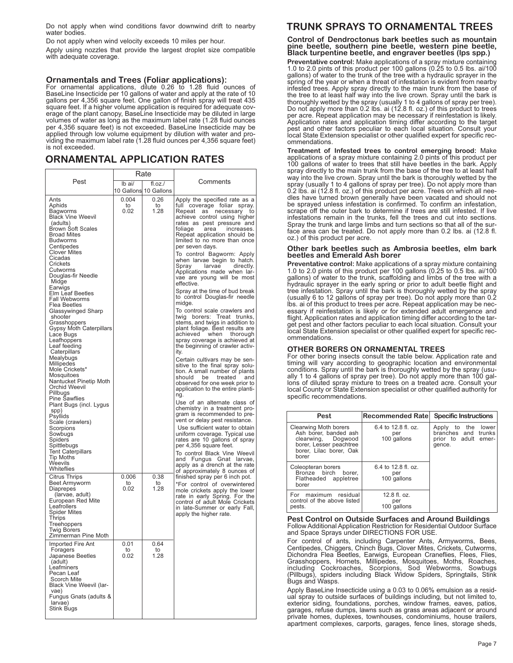Do not apply when wind conditions favor downwind drift to nearby water bodies.

Do not apply when wind velocity exceeds 10 miles per hour.

Apply using nozzles that provide the largest droplet size compatible with adequate coverage.

## **Ornamentals and Trees (Foliar applications):**

For ornamental applications, dilute 0.26 to 1.28 fluid ounces of BaseLine Insecticide per 10 gallons of water and apply at the rate of 10 gallons per 4,356 square feet. One gallon of finish spray will treat 435 square feet. If a higher volume application is required for adequate coverage of the plant canopy, BaseLine Insecticide may be diluted in large volumes of water as long as the maximum label rate (1.28 fluid ounces per 4,356 square feet) is not exceeded. BaseLine Insecticide may be applied through low volume equipment by dilution with water and providing the maximum label rate (1.28 fluid ounces per 4,356 square feet) is not exceeded.

# **ORNAMENTAL APPLICATION RATES**

|                                                                                                                                                                                                                                                                                                                                                                                                                                                                                                                                                                                                                                                                                                                                                                                                       | Rate                |                                 |                                                                                                                                                                                                                                                                                                                                                                                                                                                                                                                                                                                                                                                                                                                                                                                                                                                                                                                                                                                                                                                                                                                                                                                                                                                                                                                                                                                                       |  |
|-------------------------------------------------------------------------------------------------------------------------------------------------------------------------------------------------------------------------------------------------------------------------------------------------------------------------------------------------------------------------------------------------------------------------------------------------------------------------------------------------------------------------------------------------------------------------------------------------------------------------------------------------------------------------------------------------------------------------------------------------------------------------------------------------------|---------------------|---------------------------------|-------------------------------------------------------------------------------------------------------------------------------------------------------------------------------------------------------------------------------------------------------------------------------------------------------------------------------------------------------------------------------------------------------------------------------------------------------------------------------------------------------------------------------------------------------------------------------------------------------------------------------------------------------------------------------------------------------------------------------------------------------------------------------------------------------------------------------------------------------------------------------------------------------------------------------------------------------------------------------------------------------------------------------------------------------------------------------------------------------------------------------------------------------------------------------------------------------------------------------------------------------------------------------------------------------------------------------------------------------------------------------------------------------|--|
| Pest                                                                                                                                                                                                                                                                                                                                                                                                                                                                                                                                                                                                                                                                                                                                                                                                  | $I\mathsf{b}$ ai/   | fl.oz.<br>10 Gallons 10 Gallons | Comments                                                                                                                                                                                                                                                                                                                                                                                                                                                                                                                                                                                                                                                                                                                                                                                                                                                                                                                                                                                                                                                                                                                                                                                                                                                                                                                                                                                              |  |
| Ants<br>Aphids<br>Bagworms<br><b>Black Vine Weevil</b><br>(adults)<br><b>Brown Soft Scales</b><br><b>Broad Mites</b><br><b>Budworms</b><br>Centipedes<br><b>Clover Mites</b><br>Cicadas<br>Crickets<br>Cutworms<br>Douglas-fir Needle<br>Midge<br>Earwigs<br>Elm Leaf Beetles<br><b>Fall Webworms</b><br>Flea Beetles<br>Glassywinged Sharp<br>shooter<br>Grasshoppers<br><b>Gypsy Moth Caterpillars</b><br>Lace Bugs<br>Leafhoppers<br>Leaf feeding<br>Caterpillars<br>Mealybugs<br>Millipedes<br>Mole Crickets*<br>Mosquitoes<br>Nantucket Pinetip Moth<br>Orchid Weevil<br>Pillbugs<br><b>Pine Sawflies</b><br>Plant Bugs (incl. Lygus<br>spp)<br>Psyllids<br>Scale (crawlers)<br>Scorpions<br>Sowbugs<br>Spiders<br>Spittlebugs<br><b>Tent Caterpillars</b><br>Tip Moths<br>Weevils<br>Whiteflies | 0.004<br>to<br>0.02 | 0.26<br>to<br>1.28              | Apply the specified rate as a<br>full coverage foliar spray.<br>Repeat as<br>necessary<br>to<br>achieve control using higher<br>rates as pest pressure and<br>increases.<br>foliage<br>area<br>Repeat application should be<br>limited to no more than once<br>per seven days.<br>To control Bagworm: Apply<br>when larvae begin to hatch.<br>Spray<br>larvae<br>directly.<br>Applications made when lar-<br>vae are young will be most<br>effective.<br>Spray at the time of bud break<br>to control Douglas-fir needle<br>midge.<br>To control scale crawlers and<br>twig borers: Treat trunks,<br>stems, and twigs in addition to<br>plant foliage. Best results are<br>achieved<br>when<br>thorough<br>spray coverage is achieved at<br>the beginning of crawler activ-<br>ity.<br>Certain cultivars may be sen-<br>sitive to the final spray solu-<br>tion. A small number of plants<br>and<br>should<br>treated<br>be<br>observed for one week prior to<br>application to the entire planti-<br>ng.<br>Use of an alternate class of<br>chemistry in a treatment pro-<br>gram is recommended to pre-<br>vent or delay pest resistance.<br>Use sufficient water to obtain<br>uniform coverage. Typical use<br>rates are 10 gallons of spray<br>per 4,356 square feet.<br>To control Black Vine Weevil<br>and Fungus Gnat larvae,<br>apply as a drench at the rate<br>of approximately 8 ounces of |  |
| <b>Citrus Thrips</b><br>Beet Armyworm<br>Diaprepes<br>(larvae, adult)<br>European Red Mite<br>Leafrollers<br>Spider Mites<br>Thrips<br>Treehoppers<br><b>Twig Borers</b><br>Zimmerman Pine Moth                                                                                                                                                                                                                                                                                                                                                                                                                                                                                                                                                                                                       | 0.006<br>to<br>0.02 | 0.38<br>to<br>1.28              | finished spray per 6 inch pot.<br>*For control of overwintered<br>mole crickets apply the lower<br>rate in early Spring. For the<br>control of adult Mole Crickets<br>in late-Summer or early Fall,<br>apply the higher rate.                                                                                                                                                                                                                                                                                                                                                                                                                                                                                                                                                                                                                                                                                                                                                                                                                                                                                                                                                                                                                                                                                                                                                                         |  |
| Imported Fire Ant<br>Foragers<br>Japanese Beetles<br>(adult)<br>Leafminers<br>Pecan Leaf<br>Scorch Mite<br>Black Vine Weevil (lar-<br>vae)<br>Fungus Gnats (adults &<br>larvae)<br>Stink Bugs                                                                                                                                                                                                                                                                                                                                                                                                                                                                                                                                                                                                         | 0.01<br>to<br>0.02  | 0.64<br>to<br>1.28              |                                                                                                                                                                                                                                                                                                                                                                                                                                                                                                                                                                                                                                                                                                                                                                                                                                                                                                                                                                                                                                                                                                                                                                                                                                                                                                                                                                                                       |  |

# **TRUNK SPRAYS TO ORNAMENTAL TREES**

**Control of Dendroctonus bark beetles such as mountain pine beetle, southern pine beetle, western pine beetle, Black turpentine beetle, and engraver beetles (lps spp.)**

**Preventative control:** Make applications of a spray mixture containing 1.0 to 2.0 pints of this product per 100 gallons (0.25 to 0.5 lbs. ai/100 gallons) of water to the trunk of the tree with a hydraulic sprayer in the spring of the year or when a threat of infestation is evident from nearby infested trees. Apply spray directly to the main trunk from the base of the tree to at least half way into the live crown. Spray until the bark is thoroughly wetted by the spray (usually 1 to 4 gallons of spray per tree). Do not apply more than 0.2 lbs. ai (12.8 fl. oz.) of this product to trees per acre. Repeat application may be necessary if reinfestation is likely. Application rates and application timing differ according to the target pest and other factors peculiar to each local situation. Consult your local State Extension specialist or other qualified expert for specific recommendations.

**Treatment of Infested trees to control emerging brood:** Make applications of a spray mixture containing 2.0 pints of this product per 100 gallons of water to trees that still have beetles in the bark. Apply spray directly to the main trunk from the base of the tree to at least half way into the live crown. Spray until the bark is thoroughly wetted by the spray (usually 1 to 4 gallons of spray per tree). Do not apply more than 0.2 lbs. ai (12.8 fl. oz.) of this product per acre. Trees on which all needles have turned brown generally have been vacated and should not be sprayed unless infestation is confirmed. To confirm an infestation, scrape off the outer bark to determine if trees are still infested. If live infestations remain in the trunks, fell the trees and cut into sections. Spray the trunk and large limbs and turn sections so that all of the surface area can be treated. Do not apply more than 0.2 lbs. ai (12.8 fl. oz.) of this product per acre.

### **Other bark beetles such as Ambrosia beetles, elm bark beetles and Emerald Ash borer**

**Preventative control:** Make applications of a spray mixture containing 1.0 to 2.0 pints of this product per 100 gallons  $(0.25$  to 0.5 lbs. ai/100 gallons) of water to the trunk, scaffolding and limbs of the tree with a hydraulic sprayer in the early spring or prior to adult beetle flight and tree infestation. Spray until the bark is thoroughly wetted by the spray (usually 6 to 12 gallons of spray per tree). Do not apply more than 0.2 lbs. ai of this product to trees per acre. Repeat application may be necessary if reinfestation is likely or for extended adult emergence and flight. Application rates and application timing differ according to the target pest and other factors peculiar to each local situation. Consult your local State Extension specialist or other qualified expert for specific recommendations.

### **OTHER BORERS ON ORNAMENTAL TREES**

For other boring insects consult the table below. Application rate and timing will vary according to geographic location and environmental conditions. Spray until the bark is thoroughly wetted by the spray (usually 1 to 4 gallons of spray per tree). Do not apply more than 100 gallons of diluted spray mixture to trees on a treated acre. Consult your local County or State Extension specialist or other qualified authority for specific recommendations.

| Pest                                                                                                                                       | Recommended Rate                             | <b>Specific Instructions</b>                                                   |
|--------------------------------------------------------------------------------------------------------------------------------------------|----------------------------------------------|--------------------------------------------------------------------------------|
| <b>Clearwing Moth borers</b><br>Ash borer, banded ash<br>clearwing, Dogwood<br>borer, Lesser peachtree<br>borer, Lilac borer, Oak<br>borer | 6.4 to 12.8 fl. oz.<br>per<br>100 gallons    | Apply to the<br>lower<br>branches and trunks<br>prior to adult emer-<br>gence. |
| Coleopteran borers<br>Bronze birch borer.<br>Flatheaded appletree<br>borer                                                                 | 6.4 to 12.8 fl. oz.<br>per<br>100 gallons    |                                                                                |
| For maximum<br>residual<br>control of the above listed<br>pests.                                                                           | $12.8 \text{ fl. oz.}$<br>per<br>100 gallons |                                                                                |

### **Pest Control on Outside Surfaces and Around Buildings** Follow Additional Application Restriction for Residential Outdoor Surface and Space Sprays under DIRECTIONS FOR USE.

For control of ants, including Carpenter Ants, Armyworms, Bees, Centipedes, Chiggers, Chinch Bugs, Clover Mites, Crickets, Cutworms, Dichondra Flea Beetles, Earwigs, European Craneflies, Flees, Flies, Grasshoppers, Hornets, Millipedes, Mosquitoes, Moths, Roaches, including Cockroaches, Scorpions, Sod Webworms, Sowbugs (Pillbugs), spiders including Black Widow Spiders, Springtails, Stink Bugs and Wasps.

Apply BaseLine Insecticide using a 0.03 to 0.06% emulsion as a residual spray to outside surfaces of buildings including, but not limited to, exterior siding, foundations, porches, window frames, eaves, patios, garages, refuse dumps, lawns such as grass areas adjacent or around private homes, duplexes, townhouses, condominiums, house trailers, apartment complexes, carports, garages, fence lines, storage sheds,